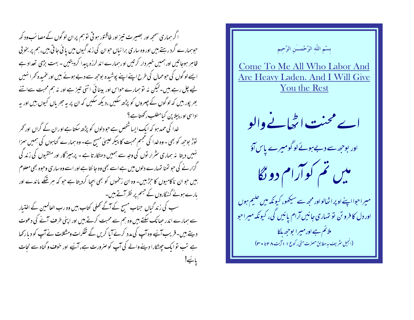اگر ہماری سمجھ اور بصیرت تیز اور طاقتور ہو تی تو ہم پر ان لوگوں کے مصائب ود کھ حوہمارے گرد رہتے ہیں اور وہ ساری برائیاں حوان کی زند گیوں میں یا ئی جا تی بیں، ہم پر بخو پی ظاہر ہوجاتیں اور ہمیں خبر دار کرتیں اور ہمارے اند لرزہ پیدا کردیتیں - بہت بڑی تعداد ہے ایسے لوگوں کی حوحمال کی طرح اپنے اپنے پوشیدہ بوجھ سے دبے ہوئے بیں اور خمیدہ کھرا نہیں یے چل رہے ہیں۔لیکن نہ نوسمارے حواس اور بینائی اتنی تیز ہے اور نہ ہم محبت سےاتنے بھر پور ہیں کہ لوگوں کے چہروں کو پڑھ سکیں ،دیکھ سکیں کہ ان پر یہ جھریاں کیوں بیں اور یہ اداسی اور پیلاین کیامطلب رکھتاہے؟ خدا کی حمد ہو کہ ایک ایسا شخص ہے حبو دلوں کو پڑھ سکتا ہے اوران کے گراں اور کھر توڑ بوحھ کو بھی ۔وہ خدا کی مجسم محبت کا پیکر عیسیٰ مسح ہے۔وہ ہمارے گناہوں کی ہمیں سمزا نہیں دیتا نہ سماری سثرار نوں کی وجہ سے ہمیں دھٹکار تا ہے ۔ پرہیز گار اور متقبوں کی زند گی گزار نے کی حبو تمنا نتہارے دلوں میں ہے اسے بھی وہ جا نتا ہے اور اسے وہ ساری وحبوہ بھی معلوم بیں حو ان ناکامیوں کا حرِّ ہیں۔ وہ ان زخموں کو بھی احیا کردیتا ہے حو کہ ہر تھکے ماندے اور بارے ہوئے گنہگاروں کے جسم پر نظر آتے ہیں۔ سب کی زند گیاں جناب مسح کے آگے تھلی کتاب بیں وہ رب العالمین کے اختیار سے ہمارے اندر حیانک سکتے ہیں وہ ہم سے محبت کرتے ہیں اور اپنی طرف آنے کی دعوت دیتے ہیں۔قریب آئیے وہ آپ کی مدد کرنے آیا کریں گے تفکرات ومشکلات نے آپ کو دیا رکھا ہے تب نوایک جھٹکارا دینے والے کی آپ کو صرورت ہے، آئیے اور حوف و گناہ سے نجات یائیے!